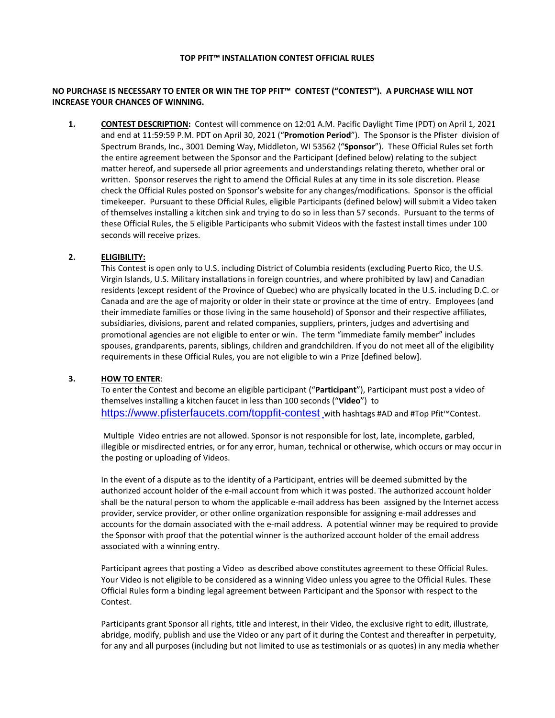#### **TOP PFIT™ INSTALLATION CONTEST OFFICIAL RULES**

# **NO PURCHASE IS NECESSARY TO ENTER OR WIN THE TOP PFIT™ CONTEST ("CONTEST"). A PURCHASE WILL NOT INCREASE YOUR CHANCES OF WINNING.**

**1. CONTEST DESCRIPTION:** Contest will commence on 12:01 A.M. Pacific Daylight Time (PDT) on April 1, 2021 and end at 11:59:59 P.M. PDT on April 30, 2021 ("**Promotion Period**"). The Sponsor is the Pfister division of Spectrum Brands, Inc., 3001 Deming Way, Middleton, WI 53562 ("**Sponsor**"). These Official Rules set forth the entire agreement between the Sponsor and the Participant (defined below) relating to the subject matter hereof, and supersede all prior agreements and understandings relating thereto, whether oral or written. Sponsor reserves the right to amend the Official Rules at any time in its sole discretion. Please check the Official Rules posted on Sponsor's website for any changes/modifications. Sponsor is the official timekeeper. Pursuant to these Official Rules, eligible Participants (defined below) will submit a Video taken of themselves installing a kitchen sink and trying to do so in less than 57 seconds. Pursuant to the terms of these Official Rules, the 5 eligible Participants who submit Videos with the fastest install times under 100 seconds will receive prizes.

### **2. ELIGIBILITY:**

This Contest is open only to U.S. including District of Columbia residents (excluding Puerto Rico, the U.S. Virgin Islands, U.S. Military installations in foreign countries, and where prohibited by law) and Canadian residents (except resident of the Province of Quebec) who are physically located in the U.S. including D.C. or Canada and are the age of majority or older in their state or province at the time of entry. Employees (and their immediate families or those living in the same household) of Sponsor and their respective affiliates, subsidiaries, divisions, parent and related companies, suppliers, printers, judges and advertising and promotional agencies are not eligible to enter or win. The term "immediate family member" includes spouses, grandparents, parents, siblings, children and grandchildren. If you do not meet all of the eligibility requirements in these Official Rules, you are not eligible to win a Prize [defined below].

### **3. HOW TO ENTER**:

To enter the Contest and become an eligible participant ("**Participant**"), Participant must post a video of themselves installing a kitchen faucet in less than 100 seconds ("**Video**") to <https://www.pfisterfaucets.com/toppfit-contest> with hashtags #AD and #Top Pfit™Contest.

Multiple Video entries are not allowed. Sponsor is not responsible for lost, late, incomplete, garbled, illegible or misdirected entries, or for any error, human, technical or otherwise, which occurs or may occur in the posting or uploading of Videos.

In the event of a dispute as to the identity of a Participant, entries will be deemed submitted by the authorized account holder of the e-mail account from which it was posted. The authorized account holder shall be the natural person to whom the applicable e-mail address has been assigned by the Internet access provider, service provider, or other online organization responsible for assigning e-mail addresses and accounts for the domain associated with the e-mail address. A potential winner may be required to provide the Sponsor with proof that the potential winner is the authorized account holder of the email address associated with a winning entry.

Participant agrees that posting a Video as described above constitutes agreement to these Official Rules. Your Video is not eligible to be considered as a winning Video unless you agree to the Official Rules. These Official Rules form a binding legal agreement between Participant and the Sponsor with respect to the Contest.

Participants grant Sponsor all rights, title and interest, in their Video, the exclusive right to edit, illustrate, abridge, modify, publish and use the Video or any part of it during the Contest and thereafter in perpetuity, for any and all purposes (including but not limited to use as testimonials or as quotes) in any media whether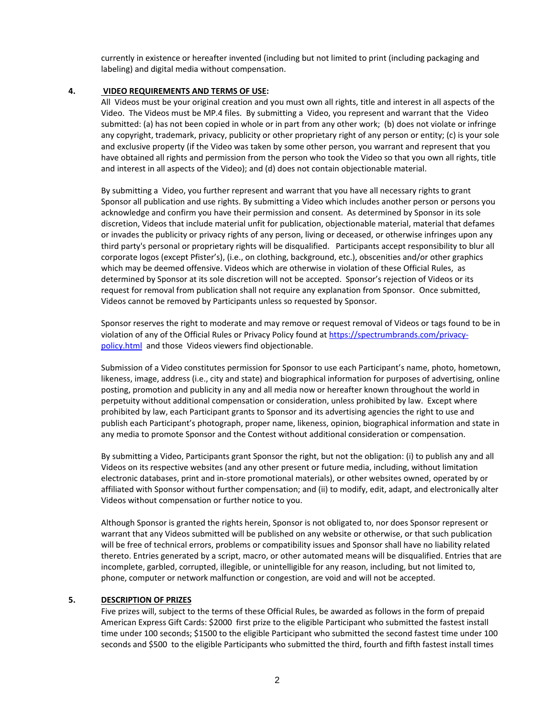currently in existence or hereafter invented (including but not limited to print (including packaging and labeling) and digital media without compensation.

# **4. VIDEO REQUIREMENTS AND TERMS OF USE:**

All Videos must be your original creation and you must own all rights, title and interest in all aspects of the Video. The Videos must be MP.4 files. By submitting a Video, you represent and warrant that the Video submitted: (a) has not been copied in whole or in part from any other work; (b) does not violate or infringe any copyright, trademark, privacy, publicity or other proprietary right of any person or entity; (c) is your sole and exclusive property (if the Video was taken by some other person, you warrant and represent that you have obtained all rights and permission from the person who took the Video so that you own all rights, title and interest in all aspects of the Video); and (d) does not contain objectionable material.

By submitting a Video, you further represent and warrant that you have all necessary rights to grant Sponsor all publication and use rights. By submitting a Video which includes another person or persons you acknowledge and confirm you have their permission and consent. As determined by Sponsor in its sole discretion, Videos that include material unfit for publication, objectionable material, material that defames or invades the publicity or privacy rights of any person, living or deceased, or otherwise infringes upon any third party's personal or proprietary rights will be disqualified. Participants accept responsibility to blur all corporate logos (except Pfister's), (i.e., on clothing, background, etc.), obscenities and/or other graphics which may be deemed offensive. Videos which are otherwise in violation of these Official Rules, as determined by Sponsor at its sole discretion will not be accepted. Sponsor's rejection of Videos or its request for removal from publication shall not require any explanation from Sponsor. Once submitted, Videos cannot be removed by Participants unless so requested by Sponsor.

Sponsor reserves the right to moderate and may remove or request removal of Videos or tags found to be in violation of any of the Official Rules or Privacy Policy found at [https://spectrumbrands.com/privacy](https://spectrumbrands.com/privacy-policy.html)[policy.html](https://spectrumbrands.com/privacy-policy.html) and those Videos viewers find objectionable.

Submission of a Video constitutes permission for Sponsor to use each Participant's name, photo, hometown, likeness, image, address (i.e., city and state) and biographical information for purposes of advertising, online posting, promotion and publicity in any and all media now or hereafter known throughout the world in perpetuity without additional compensation or consideration, unless prohibited by law. Except where prohibited by law, each Participant grants to Sponsor and its advertising agencies the right to use and publish each Participant's photograph, proper name, likeness, opinion, biographical information and state in any media to promote Sponsor and the Contest without additional consideration or compensation.

By submitting a Video, Participants grant Sponsor the right, but not the obligation: (i) to publish any and all Videos on its respective websites (and any other present or future media, including, without limitation electronic databases, print and in-store promotional materials), or other websites owned, operated by or affiliated with Sponsor without further compensation; and (ii) to modify, edit, adapt, and electronically alter Videos without compensation or further notice to you.

Although Sponsor is granted the rights herein, Sponsor is not obligated to, nor does Sponsor represent or warrant that any Videos submitted will be published on any website or otherwise, or that such publication will be free of technical errors, problems or compatibility issues and Sponsor shall have no liability related thereto. Entries generated by a script, macro, or other automated means will be disqualified. Entries that are incomplete, garbled, corrupted, illegible, or unintelligible for any reason, including, but not limited to, phone, computer or network malfunction or congestion, are void and will not be accepted.

### **5. DESCRIPTION OF PRIZES**

Five prizes will, subject to the terms of these Official Rules, be awarded as follows in the form of prepaid American Express Gift Cards: \$2000 first prize to the eligible Participant who submitted the fastest install time under 100 seconds; \$1500 to the eligible Participant who submitted the second fastest time under 100 seconds and \$500 to the eligible Participants who submitted the third, fourth and fifth fastest install times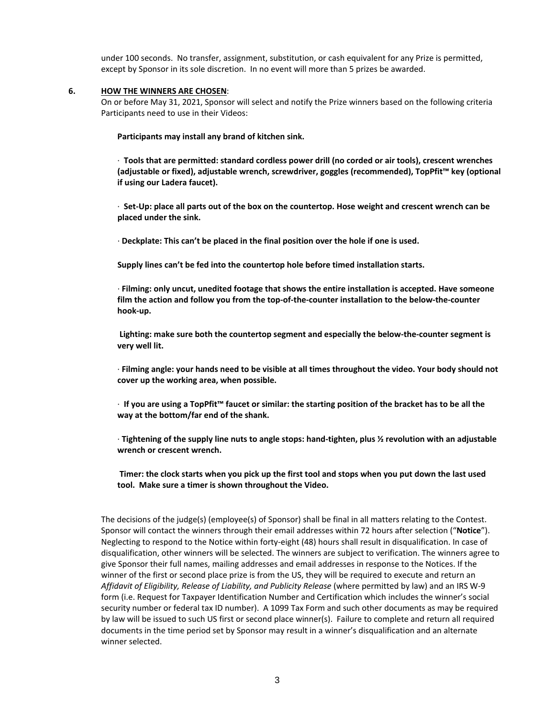under 100 seconds. No transfer, assignment, substitution, or cash equivalent for any Prize is permitted, except by Sponsor in its sole discretion. In no event will more than 5 prizes be awarded.

### **6. HOW THE WINNERS ARE CHOSEN**:

On or before May 31, 2021, Sponsor will select and notify the Prize winners based on the following criteria Participants need to use in their Videos:

**Participants may install any brand of kitchen sink.** 

· **Tools that are permitted: standard cordless power drill (no corded or air tools), crescent wrenches (adjustable or fixed), adjustable wrench, screwdriver, goggles (recommended), TopPfit™ key (optional if using our Ladera faucet).**

· **Set-Up: place all parts out of the box on the countertop. Hose weight and crescent wrench can be placed under the sink.**

· **Deckplate: This can't be placed in the final position over the hole if one is used.**

**Supply lines can't be fed into the countertop hole before timed installation starts.**

· **Filming: only uncut, unedited footage that shows the entire installation is accepted. Have someone film the action and follow you from the top-of-the-counter installation to the below-the-counter hook-up.**

**Lighting: make sure both the countertop segment and especially the below-the-counter segment is very well lit.**

· **Filming angle: your hands need to be visible at all times throughout the video. Your body should not cover up the working area, when possible.**

· **If you are using a TopPfit™ faucet or similar: the starting position of the bracket has to be all the way at the bottom/far end of the shank.**

· **Tightening of the supply line nuts to angle stops: hand-tighten, plus ½ revolution with an adjustable wrench or crescent wrench.**

**Timer: the clock starts when you pick up the first tool and stops when you put down the last used tool. Make sure a timer is shown throughout the Video.** 

The decisions of the judge(s) (employee(s) of Sponsor) shall be final in all matters relating to the Contest. Sponsor will contact the winners through their email addresses within 72 hours after selection ("**Notice**"). Neglecting to respond to the Notice within forty-eight (48) hours shall result in disqualification. In case of disqualification, other winners will be selected. The winners are subject to verification. The winners agree to give Sponsor their full names, mailing addresses and email addresses in response to the Notices. If the winner of the first or second place prize is from the US, they will be required to execute and return an *Affidavit of Eligibility, Release of Liability, and Publicity Release* (where permitted by law) and an IRS W-9 form (i.e. Request for Taxpayer Identification Number and Certification which includes the winner's social security number or federal tax ID number). A 1099 Tax Form and such other documents as may be required by law will be issued to such US first or second place winner(s). Failure to complete and return all required documents in the time period set by Sponsor may result in a winner's disqualification and an alternate winner selected.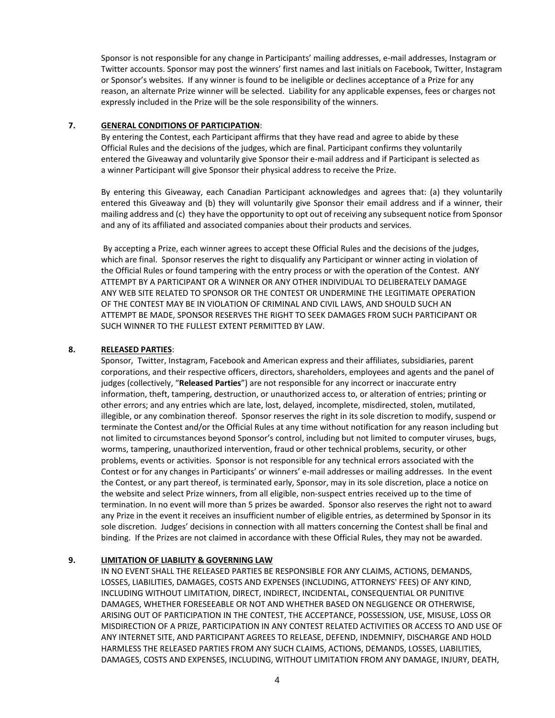Sponsor is not responsible for any change in Participants' mailing addresses, e-mail addresses, Instagram or Twitter accounts. Sponsor may post the winners' first names and last initials on Facebook, Twitter, Instagram or Sponsor's websites. If any winner is found to be ineligible or declines acceptance of a Prize for any reason, an alternate Prize winner will be selected. Liability for any applicable expenses, fees or charges not expressly included in the Prize will be the sole responsibility of the winners.

### **7. GENERAL CONDITIONS OF PARTICIPATION**:

By entering the Contest, each Participant affirms that they have read and agree to abide by these Official Rules and the decisions of the judges, which are final. Participant confirms they voluntarily entered the Giveaway and voluntarily give Sponsor their e-mail address and if Participant is selected as a winner Participant will give Sponsor their physical address to receive the Prize.

By entering this Giveaway, each Canadian Participant acknowledges and agrees that: (a) they voluntarily entered this Giveaway and (b) they will voluntarily give Sponsor their email address and if a winner, their mailing address and (c) they have the opportunity to opt out of receiving any subsequent notice from Sponsor and any of its affiliated and associated companies about their products and services.

By accepting a Prize, each winner agrees to accept these Official Rules and the decisions of the judges, which are final. Sponsor reserves the right to disqualify any Participant or winner acting in violation of the Official Rules or found tampering with the entry process or with the operation of the Contest. ANY ATTEMPT BY A PARTICIPANT OR A WINNER OR ANY OTHER INDIVIDUAL TO DELIBERATELY DAMAGE ANY WEB SITE RELATED TO SPONSOR OR THE CONTEST OR UNDERMINE THE LEGITIMATE OPERATION OF THE CONTEST MAY BE IN VIOLATION OF CRIMINAL AND CIVIL LAWS, AND SHOULD SUCH AN ATTEMPT BE MADE, SPONSOR RESERVES THE RIGHT TO SEEK DAMAGES FROM SUCH PARTICIPANT OR SUCH WINNER TO THE FULLEST EXTENT PERMITTED BY LAW.

# **8. RELEASED PARTIES**:

Sponsor, Twitter, Instagram, Facebook and American express and their affiliates, subsidiaries, parent corporations, and their respective officers, directors, shareholders, employees and agents and the panel of judges (collectively, "**Released Parties**") are not responsible for any incorrect or inaccurate entry information, theft, tampering, destruction, or unauthorized access to, or alteration of entries; printing or other errors; and any entries which are late, lost, delayed, incomplete, misdirected, stolen, mutilated, illegible, or any combination thereof. Sponsor reserves the right in its sole discretion to modify, suspend or terminate the Contest and/or the Official Rules at any time without notification for any reason including but not limited to circumstances beyond Sponsor's control, including but not limited to computer viruses, bugs, worms, tampering, unauthorized intervention, fraud or other technical problems, security, or other problems, events or activities. Sponsor is not responsible for any technical errors associated with the Contest or for any changes in Participants' or winners' e-mail addresses or mailing addresses. In the event the Contest, or any part thereof, is terminated early, Sponsor, may in its sole discretion, place a notice on the website and select Prize winners, from all eligible, non-suspect entries received up to the time of termination. In no event will more than 5 prizes be awarded. Sponsor also reserves the right not to award any Prize in the event it receives an insufficient number of eligible entries, as determined by Sponsor in its sole discretion. Judges' decisions in connection with all matters concerning the Contest shall be final and binding. If the Prizes are not claimed in accordance with these Official Rules, they may not be awarded.

# **9. LIMITATION OF LIABILITY & GOVERNING LAW**

IN NO EVENT SHALL THE RELEASED PARTIES BE RESPONSIBLE FOR ANY CLAIMS, ACTIONS, DEMANDS, LOSSES, LIABILITIES, DAMAGES, COSTS AND EXPENSES (INCLUDING, ATTORNEYS' FEES) OF ANY KIND, INCLUDING WITHOUT LIMITATION, DIRECT, INDIRECT, INCIDENTAL, CONSEQUENTIAL OR PUNITIVE DAMAGES, WHETHER FORESEEABLE OR NOT AND WHETHER BASED ON NEGLIGENCE OR OTHERWISE, ARISING OUT OF PARTICIPATION IN THE CONTEST, THE ACCEPTANCE, POSSESSION, USE, MISUSE, LOSS OR MISDIRECTION OF A PRIZE, PARTICIPATION IN ANY CONTEST RELATED ACTIVITIES OR ACCESS TO AND USE OF ANY INTERNET SITE, AND PARTICIPANT AGREES TO RELEASE, DEFEND, INDEMNIFY, DISCHARGE AND HOLD HARMLESS THE RELEASED PARTIES FROM ANY SUCH CLAIMS, ACTIONS, DEMANDS, LOSSES, LIABILITIES, DAMAGES, COSTS AND EXPENSES, INCLUDING, WITHOUT LIMITATION FROM ANY DAMAGE, INJURY, DEATH,